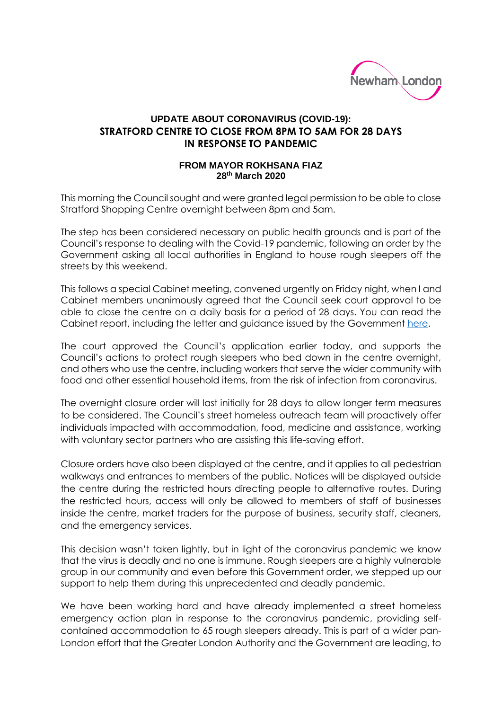

## **UPDATE ABOUT CORONAVIRUS (COVID-19): STRATFORD CENTRE TO CLOSE FROM 8PM TO 5AM FOR 28 DAYS IN RESPONSE TO PANDEMIC**

## **FROM MAYOR ROKHSANA FIAZ 28 th March 2020**

This morning the Council sought and were granted legal permission to be able to close Stratford Shopping Centre overnight between 8pm and 5am.

The step has been considered necessary on public health grounds and is part of the Council's response to dealing with the Covid-19 pandemic, following an order by the Government asking all local authorities in England to house rough sleepers off the streets by this weekend.

This follows a special Cabinet meeting, convened urgently on Friday night, when I and Cabinet members unanimously agreed that the Council seek court approval to be able to close the centre on a daily basis for a period of 28 days. You can read the Cabinet report, including the letter and guidance issued by the Government [here.](https://mgov.newham.gov.uk/ieListDocuments.aspx?MId=13037&x=1)

The court approved the Council's application earlier today, and supports the Council's actions to protect rough sleepers who bed down in the centre overnight, and others who use the centre, including workers that serve the wider community with food and other essential household items, from the risk of infection from coronavirus.

The overnight closure order will last initially for 28 days to allow longer term measures to be considered. The Council's street homeless outreach team will proactively offer individuals impacted with accommodation, food, medicine and assistance, working with voluntary sector partners who are assisting this life-saving effort.

Closure orders have also been displayed at the centre, and it applies to all pedestrian walkways and entrances to members of the public. Notices will be displayed outside the centre during the restricted hours directing people to alternative routes. During the restricted hours, access will only be allowed to members of staff of businesses inside the centre, market traders for the purpose of business, security staff, cleaners, and the emergency services.

This decision wasn't taken lightly, but in light of the coronavirus pandemic we know that the virus is deadly and no one is immune. Rough sleepers are a highly vulnerable group in our community and even before this Government order, we stepped up our support to help them during this unprecedented and deadly pandemic.

We have been working hard and have already implemented a street homeless emergency action plan in response to the coronavirus pandemic, providing selfcontained accommodation to 65 rough sleepers already. This is part of a wider pan-London effort that the Greater London Authority and the Government are leading, to